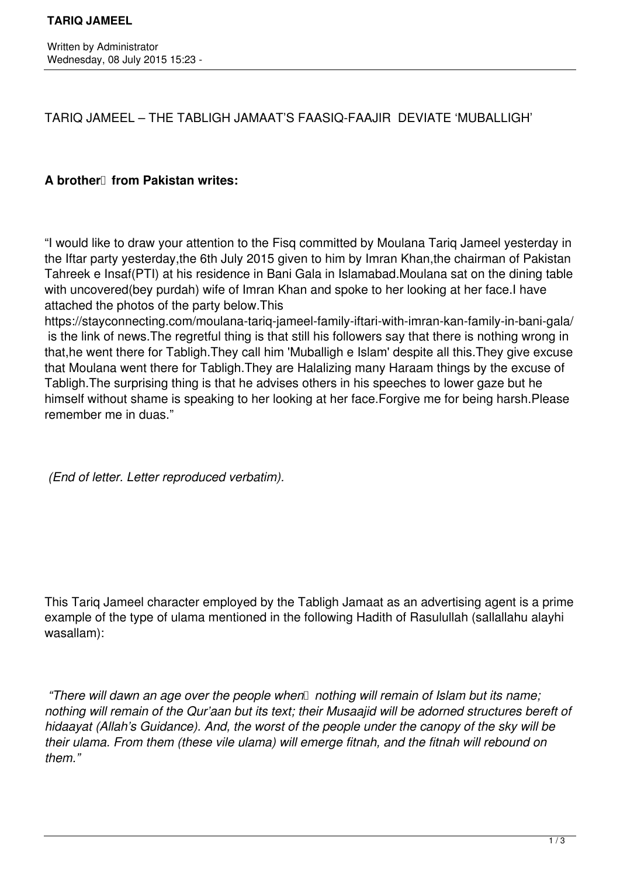TARIQ JAMEEL – THE TABLIGH JAMAAT'S FAASIQ-FAAJIR DEVIATE 'MUBALLIGH'

## A brother<sup>[1]</sup> from Pakistan writes:

"I would like to draw your attention to the Fisq committed by Moulana Tariq Jameel yesterday in the Iftar party yesterday,the 6th July 2015 given to him by Imran Khan,the chairman of Pakistan Tahreek e Insaf(PTI) at his residence in Bani Gala in Islamabad.Moulana sat on the dining table with uncovered(bey purdah) wife of Imran Khan and spoke to her looking at her face.I have attached the photos of the party below.This

https://stayconnecting.com/moulana-tariq-jameel-family-iftari-with-imran-kan-family-in-bani-gala/ is the link of news.The regretful thing is that still his followers say that there is nothing wrong in that,he went there for Tabligh.They call him 'Muballigh e Islam' despite all this.They give excuse that Moulana went there for Tabligh.They are Halalizing many Haraam things by the excuse of Tabligh.The surprising thing is that he advises others in his speeches to lower gaze but he himself without shame is speaking to her looking at her face.Forgive me for being harsh.Please remember me in duas."

 *(End of letter. Letter reproduced verbatim).*

This Tariq Jameel character employed by the Tabligh Jamaat as an advertising agent is a prime example of the type of ulama mentioned in the following Hadith of Rasulullah (sallallahu alayhi wasallam):

*"There will dawn an age over the people when*  $\Box$  nothing will remain of Islam but its name; *nothing will remain of the Qur'aan but its text; their Musaajid will be adorned structures bereft of hidaayat (Allah's Guidance). And, the worst of the people under the canopy of the sky will be their ulama. From them (these vile ulama) will emerge fitnah, and the fitnah will rebound on them."*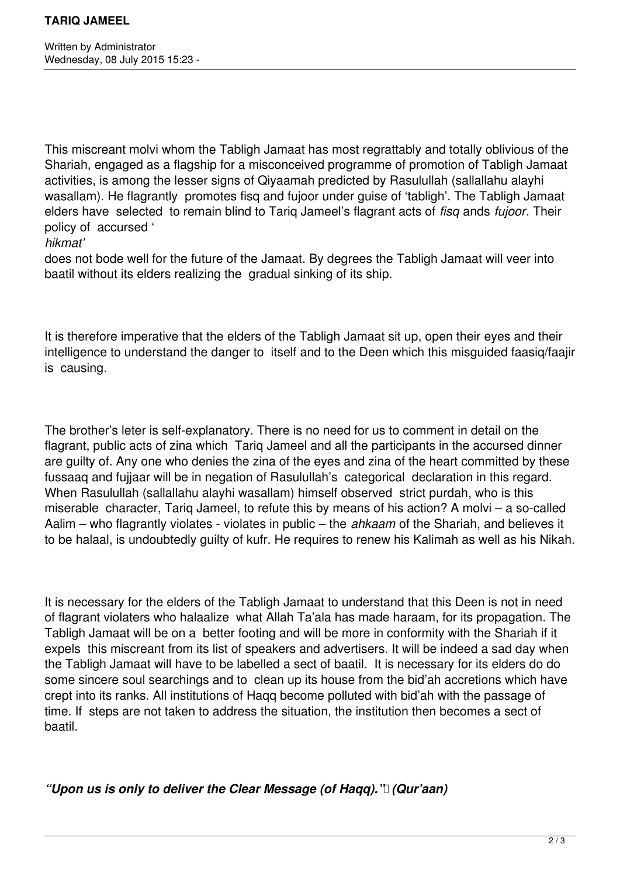This miscreant molvi whom the Tabligh Jamaat has most regrattably and totally oblivious of the Shariah, engaged as a flagship for a misconceived programme of promotion of Tabligh Jamaat activities, is among the lesser signs of Qiyaamah predicted by Rasulullah (sallallahu alayhi wasallam). He flagrantly promotes fisq and fujoor under guise of 'tabligh'. The Tabligh Jamaat elders have selected to remain blind to Tariq Jameel's flagrant acts of *fisq* ands *fujoor*. Their policy of accursed '

## *hikmat'*

does not bode well for the future of the Jamaat. By degrees the Tabligh Jamaat will veer into baatil without its elders realizing the gradual sinking of its ship.

It is therefore imperative that the elders of the Tabligh Jamaat sit up, open their eyes and their intelligence to understand the danger to itself and to the Deen which this misguided faasiq/faajir is causing.

The brother's leter is self-explanatory. There is no need for us to comment in detail on the flagrant, public acts of zina which Tariq Jameel and all the participants in the accursed dinner are guilty of. Any one who denies the zina of the eyes and zina of the heart committed by these fussaaq and fujjaar will be in negation of Rasulullah's categorical declaration in this regard. When Rasulullah (sallallahu alayhi wasallam) himself observed strict purdah, who is this miserable character, Tariq Jameel, to refute this by means of his action? A molvi – a so-called Aalim – who flagrantly violates - violates in public – the *ahkaam* of the Shariah, and believes it to be halaal, is undoubtedly guilty of kufr. He requires to renew his Kalimah as well as his Nikah.

It is necessary for the elders of the Tabligh Jamaat to understand that this Deen is not in need of flagrant violaters who halaalize what Allah Ta'ala has made haraam, for its propagation. The Tabligh Jamaat will be on a better footing and will be more in conformity with the Shariah if it expels this miscreant from its list of speakers and advertisers. It will be indeed a sad day when the Tabligh Jamaat will have to be labelled a sect of baatil. It is necessary for its elders do do some sincere soul searchings and to clean up its house from the bid'ah accretions which have crept into its ranks. All institutions of Haqq become polluted with bid'ah with the passage of time. If steps are not taken to address the situation, the institution then becomes a sect of baatil.

*"Upon us is only to deliver the Clear Message (of Haqq)." (Qur'aan)*